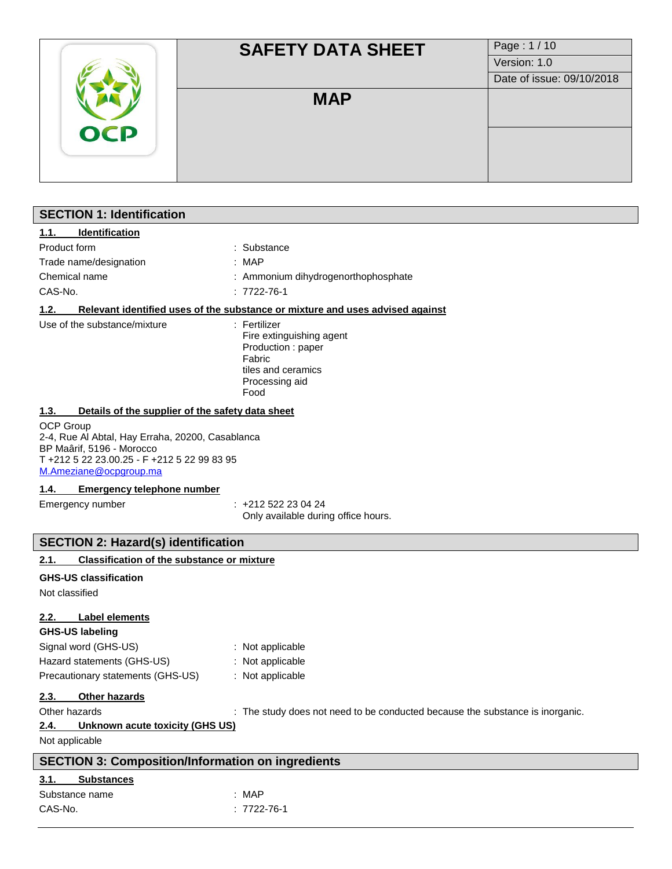|            | <b>SAFETY DATA SHEET</b> | Page: 1/10                |
|------------|--------------------------|---------------------------|
|            |                          | Version: 1.0              |
|            |                          | Date of issue: 09/10/2018 |
|            | <b>MAP</b>               |                           |
| <b>OCP</b> |                          |                           |
|            |                          |                           |
|            |                          |                           |
|            |                          |                           |
|            |                          |                           |

# **SECTION 1: Identification 1.1. Identification** Product form  $\qquad \qquad :$  Substance Trade name/designation : MAP Chemical name  $\qquad \qquad :$  Ammonium dihydrogenorthophosphate CAS-No. : 7722-76-1 **1.2. Relevant identified uses of the substance or mixture and uses advised against** Use of the substance/mixture : Fertilizer Fire extinguishing agent Production : paper Fabric tiles and ceramics Processing aid Food **1.3. Details of the supplier of the safety data sheet** OCP Group 2-4, Rue Al Abtal, Hay Erraha, 20200, Casablanca BP Maârif, 5196 - Morocco T +212 5 22 23.00.25 - F +212 5 22 99 83 95 [M.Ameziane@ocpgroup.ma](mailto:M.Ameziane@ocpgroup.ma) **1.4. Emergency telephone number** Emergency number : +212 522 23 04 24 Only available during office hours. **SECTION 2: Hazard(s) identification 2.1. Classification of the substance or mixture GHS-US classification** Not classified **2.2. Label elements GHS-US labeling** Signal word (GHS-US) : Not applicable Hazard statements (GHS-US) : Not applicable Precautionary statements (GHS-US) : Not applicable **2.3. Other hazards** Other hazards **investigat in the study does not need to be conducted because the substance is inorganic. 2.4. Unknown acute toxicity (GHS US)** Not applicable **SECTION 3: Composition/Information on ingredients 3.1. Substances**

| Substance name | : MAP       |
|----------------|-------------|
| CAS-No.        | : 7722-76-1 |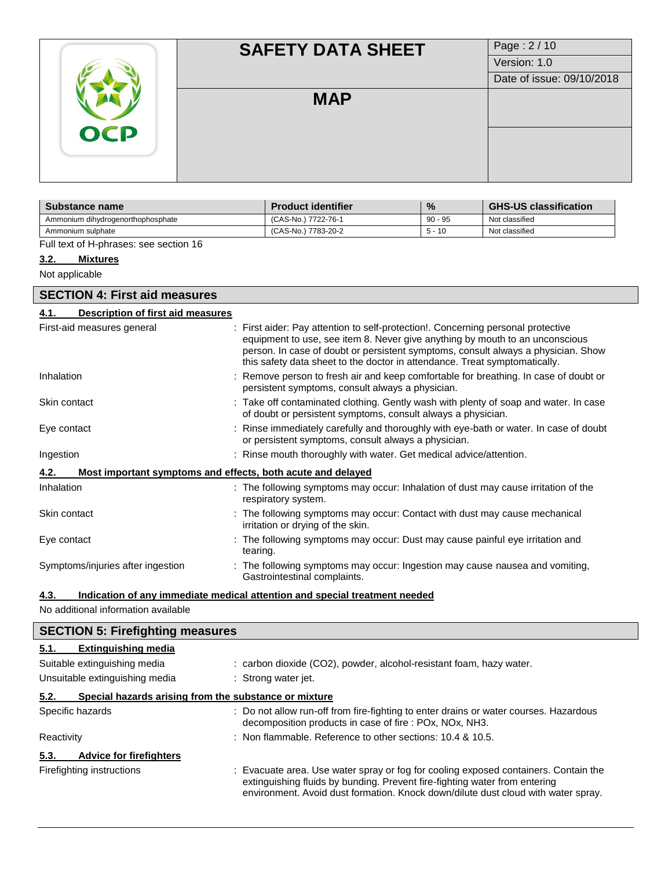| <b>OCP</b> | <b>SAFETY DATA SHEET</b> | Page: 2/10                |
|------------|--------------------------|---------------------------|
|            |                          | Version: 1.0              |
|            |                          | Date of issue: 09/10/2018 |
|            | <b>MAP</b>               |                           |
|            |                          |                           |
|            |                          |                           |
|            |                          |                           |

| Substance name                    | <b>Product identifier</b> | $\frac{9}{6}$ | <b>GHS-US classification</b> |
|-----------------------------------|---------------------------|---------------|------------------------------|
| Ammonium dihydrogenorthophosphate | (CAS-No.) 7722-76-1       | $90 - 95$     | Not classified               |
| Ammonium sulphate                 | (CAS-No.) 7783-20-2       | $5 - 10$      | Not classified               |

Full text of H-phrases: see section 16

#### **3.2. Mixtures**

Not applicable

 $\mathsf{I}$ 

| <b>SECTION 4: First aid measures</b>                                |                                                                                                                                                                                                                                                                                                                                     |  |  |  |
|---------------------------------------------------------------------|-------------------------------------------------------------------------------------------------------------------------------------------------------------------------------------------------------------------------------------------------------------------------------------------------------------------------------------|--|--|--|
| <b>Description of first aid measures</b><br>4.1.                    |                                                                                                                                                                                                                                                                                                                                     |  |  |  |
| First-aid measures general                                          | : First aider: Pay attention to self-protection!. Concerning personal protective<br>equipment to use, see item 8. Never give anything by mouth to an unconscious<br>person. In case of doubt or persistent symptoms, consult always a physician. Show<br>this safety data sheet to the doctor in attendance. Treat symptomatically. |  |  |  |
| Inhalation                                                          | : Remove person to fresh air and keep comfortable for breathing. In case of doubt or<br>persistent symptoms, consult always a physician.                                                                                                                                                                                            |  |  |  |
| Skin contact                                                        | : Take off contaminated clothing. Gently wash with plenty of soap and water. In case<br>of doubt or persistent symptoms, consult always a physician.                                                                                                                                                                                |  |  |  |
| Eye contact                                                         | : Rinse immediately carefully and thoroughly with eye-bath or water. In case of doubt<br>or persistent symptoms, consult always a physician.                                                                                                                                                                                        |  |  |  |
| Ingestion                                                           | : Rinse mouth thoroughly with water. Get medical advice/attention.                                                                                                                                                                                                                                                                  |  |  |  |
| Most important symptoms and effects, both acute and delayed<br>4.2. |                                                                                                                                                                                                                                                                                                                                     |  |  |  |
| Inhalation                                                          | : The following symptoms may occur: Inhalation of dust may cause irritation of the<br>respiratory system.                                                                                                                                                                                                                           |  |  |  |
| Skin contact                                                        | : The following symptoms may occur: Contact with dust may cause mechanical<br>irritation or drying of the skin.                                                                                                                                                                                                                     |  |  |  |
| Eye contact                                                         | : The following symptoms may occur: Dust may cause painful eye irritation and<br>tearing.                                                                                                                                                                                                                                           |  |  |  |
| Symptoms/injuries after ingestion                                   | : The following symptoms may occur: Ingestion may cause nausea and vomiting,<br>Gastrointestinal complaints.                                                                                                                                                                                                                        |  |  |  |

# **4.3. Indication of any immediate medical attention and special treatment needed**

No additional information available

| <b>SECTION 5: Firefighting measures</b>                       |                                                                                                                                                                                                                                                        |  |  |  |
|---------------------------------------------------------------|--------------------------------------------------------------------------------------------------------------------------------------------------------------------------------------------------------------------------------------------------------|--|--|--|
| <b>Extinguishing media</b><br>5.1.                            |                                                                                                                                                                                                                                                        |  |  |  |
| Suitable extinguishing media                                  | : carbon dioxide (CO2), powder, alcohol-resistant foam, hazy water.                                                                                                                                                                                    |  |  |  |
| Unsuitable extinguishing media                                | : Strong water jet.                                                                                                                                                                                                                                    |  |  |  |
| Special hazards arising from the substance or mixture<br>5.2. |                                                                                                                                                                                                                                                        |  |  |  |
| Specific hazards                                              | : Do not allow run-off from fire-fighting to enter drains or water courses. Hazardous<br>decomposition products in case of fire : POx, NOx, NH3.                                                                                                       |  |  |  |
| Reactivity                                                    | : Non flammable. Reference to other sections: 10.4 & 10.5.                                                                                                                                                                                             |  |  |  |
| <b>Advice for firefighters</b><br>5.3.                        |                                                                                                                                                                                                                                                        |  |  |  |
| Firefighting instructions                                     | : Evacuate area. Use water spray or fog for cooling exposed containers. Contain the<br>extinguishing fluids by bunding. Prevent fire-fighting water from entering<br>environment. Avoid dust formation. Knock down/dilute dust cloud with water spray. |  |  |  |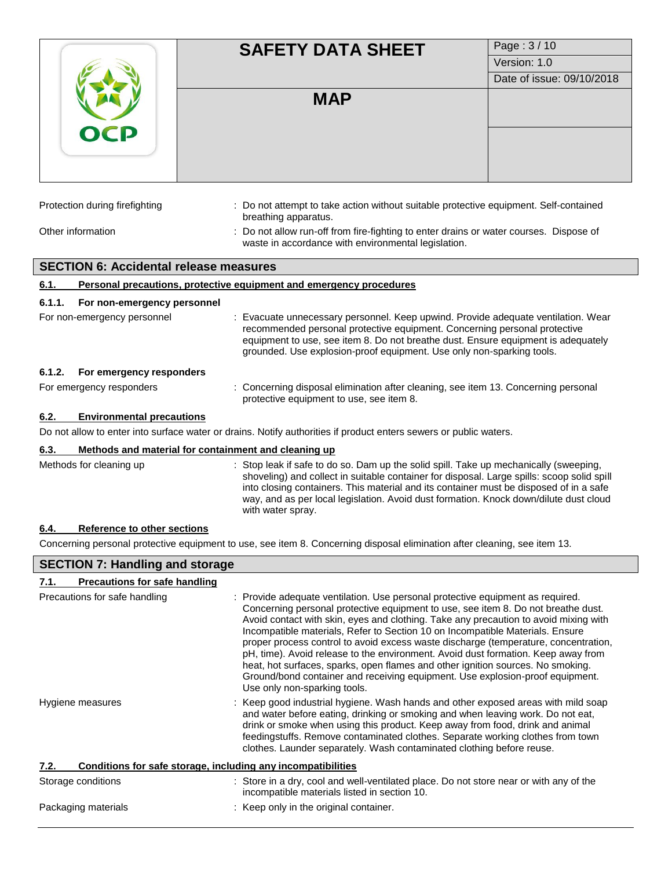|                                                     | <b>SAFETY DATA SHEET</b>                                                                                                                                                                                                                                                                                                                                                                    | Page: 3/10                |
|-----------------------------------------------------|---------------------------------------------------------------------------------------------------------------------------------------------------------------------------------------------------------------------------------------------------------------------------------------------------------------------------------------------------------------------------------------------|---------------------------|
|                                                     |                                                                                                                                                                                                                                                                                                                                                                                             | Version: 1.0              |
|                                                     |                                                                                                                                                                                                                                                                                                                                                                                             | Date of issue: 09/10/2018 |
|                                                     | <b>MAP</b>                                                                                                                                                                                                                                                                                                                                                                                  |                           |
| Protection during firefighting                      | : Do not attempt to take action without suitable protective equipment. Self-contained<br>breathing apparatus.                                                                                                                                                                                                                                                                               |                           |
| Other information                                   | : Do not allow run-off from fire-fighting to enter drains or water courses. Dispose of<br>waste in accordance with environmental legislation.                                                                                                                                                                                                                                               |                           |
| <b>SECTION 6: Accidental release measures</b>       |                                                                                                                                                                                                                                                                                                                                                                                             |                           |
| 6.1.                                                | Personal precautions, protective equipment and emergency procedures                                                                                                                                                                                                                                                                                                                         |                           |
| 6.1.1.<br>For non-emergency personnel               |                                                                                                                                                                                                                                                                                                                                                                                             |                           |
| For non-emergency personnel                         | : Evacuate unnecessary personnel. Keep upwind. Provide adequate ventilation. Wear<br>recommended personal protective equipment. Concerning personal protective<br>equipment to use, see item 8. Do not breathe dust. Ensure equipment is adequately<br>grounded. Use explosion-proof equipment. Use only non-sparking tools.                                                                |                           |
| 6.1.2.<br>For emergency responders                  |                                                                                                                                                                                                                                                                                                                                                                                             |                           |
| For emergency responders                            | : Concerning disposal elimination after cleaning, see item 13. Concerning personal<br>protective equipment to use, see item 8.                                                                                                                                                                                                                                                              |                           |
| <b>Environmental precautions</b><br>6.2.            |                                                                                                                                                                                                                                                                                                                                                                                             |                           |
|                                                     | Do not allow to enter into surface water or drains. Notify authorities if product enters sewers or public waters.                                                                                                                                                                                                                                                                           |                           |
| 6.3.                                                | Methods and material for containment and cleaning up                                                                                                                                                                                                                                                                                                                                        |                           |
| Methods for cleaning up                             | : Stop leak if safe to do so. Dam up the solid spill. Take up mechanically (sweeping,<br>shoveling) and collect in suitable container for disposal. Large spills: scoop solid spill<br>into closing containers. This material and its container must be disposed of in a safe<br>way, and as per local legislation. Avoid dust formation. Knock down/dilute dust cloud<br>with water spray. |                           |
| Reference to other sections<br>6.4.                 |                                                                                                                                                                                                                                                                                                                                                                                             |                           |
|                                                     | Concerning personal protective equipment to use, see item 8. Concerning disposal elimination after cleaning, see item 13.                                                                                                                                                                                                                                                                   |                           |
| <b>SECTION 7: Handling and storage</b>              |                                                                                                                                                                                                                                                                                                                                                                                             |                           |
| <b>Precautions for safe handling</b><br><u>7.1.</u> |                                                                                                                                                                                                                                                                                                                                                                                             |                           |
| Precautions for safe handling                       | : Provide adequate ventilation. Use personal protective equipment as required.<br>Concerning personal protective equipment to use, see item 8. Do not breathe dust.<br>Avoid contact with skin, eyes and clothing. Take any precaution to avoid mixing with<br>Incompatible materials, Refer to Section 10 on Incompatible Materials. Ensure                                                |                           |

proper process control to avoid excess waste discharge (temperature, concentration, pH, time). Avoid release to the environment. Avoid dust formation. Keep away from heat, hot surfaces, sparks, open flames and other ignition sources. No smoking. Ground/bond container and receiving equipment. Use explosion-proof equipment. Use only non-sparking tools.

Hygiene measures **industrial hygiene.** Wash hands and other exposed areas with mild soap and water before eating, drinking or smoking and when leaving work. Do not eat, drink or smoke when using this product. Keep away from food, drink and animal feedingstuffs. Remove contaminated clothes. Separate working clothes from town clothes. Launder separately. Wash contaminated clothing before reuse.

# **7.2. Conditions for safe storage, including any incompatibilities**

| Storage conditions  | : Store in a dry, cool and well-ventilated place. Do not store near or with any of the<br>incompatible materials listed in section 10. |
|---------------------|----------------------------------------------------------------------------------------------------------------------------------------|
| Packaging materials | : Keep only in the original container.                                                                                                 |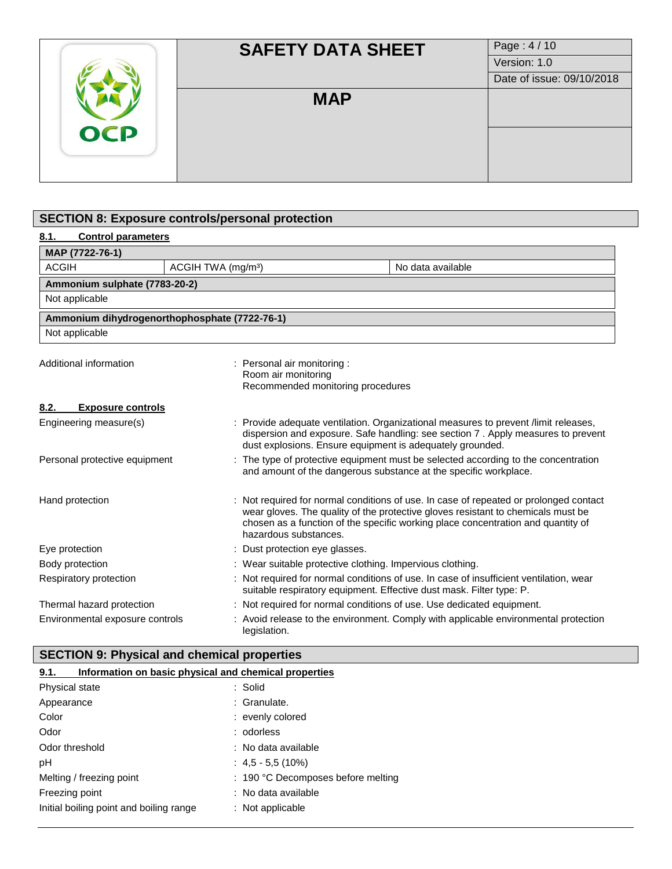| <b>OCP</b> | <b>SAFETY DATA SHEET</b> | Page: 4/10                |
|------------|--------------------------|---------------------------|
|            |                          | Version: 1.0              |
|            |                          | Date of issue: 09/10/2018 |
|            | <b>MAP</b>               |                           |
|            |                          |                           |
|            |                          |                           |

# **SECTION 8: Exposure controls/personal protection**

# **8.1. Control parameters**

| MAP (7722-76-1)                                                     |  |                                                                                                                                                                                                                                      |  |                                                                                                                                                                                                                                                             |
|---------------------------------------------------------------------|--|--------------------------------------------------------------------------------------------------------------------------------------------------------------------------------------------------------------------------------------|--|-------------------------------------------------------------------------------------------------------------------------------------------------------------------------------------------------------------------------------------------------------------|
| <b>ACGIH</b><br>ACGIH TWA (mg/m <sup>3</sup> )<br>No data available |  |                                                                                                                                                                                                                                      |  |                                                                                                                                                                                                                                                             |
| Ammonium sulphate (7783-20-2)                                       |  |                                                                                                                                                                                                                                      |  |                                                                                                                                                                                                                                                             |
| Not applicable                                                      |  |                                                                                                                                                                                                                                      |  |                                                                                                                                                                                                                                                             |
| Ammonium dihydrogenorthophosphate (7722-76-1)                       |  |                                                                                                                                                                                                                                      |  |                                                                                                                                                                                                                                                             |
| Not applicable                                                      |  |                                                                                                                                                                                                                                      |  |                                                                                                                                                                                                                                                             |
| Additional information                                              |  | : Personal air monitoring :<br>Room air monitoring<br>Recommended monitoring procedures                                                                                                                                              |  |                                                                                                                                                                                                                                                             |
| <b>Exposure controls</b><br>8.2.                                    |  |                                                                                                                                                                                                                                      |  |                                                                                                                                                                                                                                                             |
| Engineering measure(s)                                              |  | : Provide adequate ventilation. Organizational measures to prevent /limit releases,<br>dispersion and exposure. Safe handling: see section 7. Apply measures to prevent<br>dust explosions. Ensure equipment is adequately grounded. |  |                                                                                                                                                                                                                                                             |
| Personal protective equipment                                       |  |                                                                                                                                                                                                                                      |  | : The type of protective equipment must be selected according to the concentration<br>and amount of the dangerous substance at the specific workplace.                                                                                                      |
| Hand protection                                                     |  | hazardous substances.                                                                                                                                                                                                                |  | Not required for normal conditions of use. In case of repeated or prolonged contact<br>wear gloves. The quality of the protective gloves resistant to chemicals must be<br>chosen as a function of the specific working place concentration and quantity of |
| Eye protection                                                      |  | : Dust protection eye glasses.                                                                                                                                                                                                       |  |                                                                                                                                                                                                                                                             |
| Body protection                                                     |  | : Wear suitable protective clothing. Impervious clothing.                                                                                                                                                                            |  |                                                                                                                                                                                                                                                             |
| Respiratory protection                                              |  |                                                                                                                                                                                                                                      |  | : Not required for normal conditions of use. In case of insufficient ventilation, wear<br>suitable respiratory equipment. Effective dust mask. Filter type: P.                                                                                              |
| Thermal hazard protection                                           |  |                                                                                                                                                                                                                                      |  | : Not required for normal conditions of use. Use dedicated equipment.                                                                                                                                                                                       |
| Environmental exposure controls                                     |  | legislation.                                                                                                                                                                                                                         |  | Avoid release to the environment. Comply with applicable environmental protection                                                                                                                                                                           |

# **SECTION 9: Physical and chemical properties**

| Information on basic physical and chemical properties<br>9.1. |                                    |  |  |  |
|---------------------------------------------------------------|------------------------------------|--|--|--|
| Physical state                                                | : Solid                            |  |  |  |
| Appearance                                                    | : Granulate.                       |  |  |  |
| Color                                                         | : evenly colored                   |  |  |  |
| Odor                                                          | : odorless                         |  |  |  |
| Odor threshold                                                | : No data available                |  |  |  |
| рH                                                            | $: 4.5 - 5.5(10\%)$                |  |  |  |
| Melting / freezing point                                      | : 190 °C Decomposes before melting |  |  |  |
| Freezing point                                                | : No data available                |  |  |  |
| Initial boiling point and boiling range                       | $:$ Not applicable                 |  |  |  |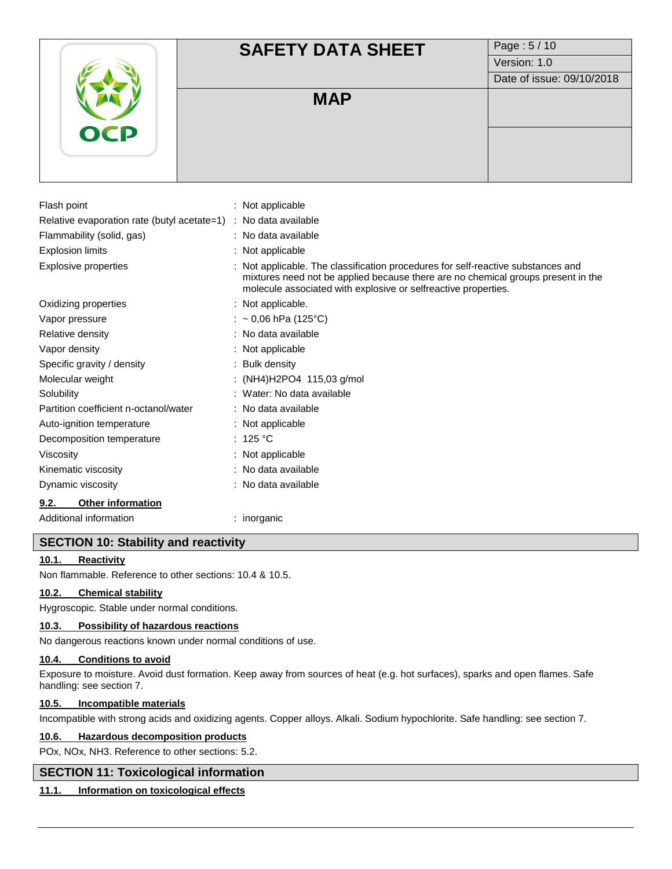# **SAFETY DATA SHEET** Page: 5/10 Version: 1.0 Date of issue: 09/10/2018 **MAP** Flash point : Not applicable Relative evaporation rate (butyl acetate=1) : No data available Flammability (solid, gas) : No data available Explosion limits : Not applicable Explosive properties : Not applicable. The classification procedures for self-reactive substances and mixtures need not be applied because there are no chemical groups present in the molecule associated with explosive or selfreactive properties. Oxidizing properties : Not applicable. Vapor pressure  $\therefore$   $\sim 0.06$  hPa (125°C) Relative density **in the case of the COV**  $\sim$  No data available Vapor density **in the case of the COV**  $\sim$  2011 : Not applicable Specific gravity / density  $\cdot$  Bulk density

Decomposition temperature : 125 °C Viscosity **in the Contract of Contract Contract Contract Contract Contract Contract Contract Contract Contract Contract Contract Contract Contract Contract Contract Contract Contract Contract Contract Contract Contract Con** Kinematic viscosity **interest in the Contract Contract Contract Contract Contract Contract Contract Contract Contract Contract Contract Contract Contract Contract Contract Contract Contract Contract Contract Contract Contr** 

#### **9.2. Other information**

Additional information : inorganic

# **SECTION 10: Stability and reactivity**

# **10.1. Reactivity**

Non flammable. Reference to other sections: 10.4 & 10.5.

#### **10.2. Chemical stability**

Hygroscopic. Stable under normal conditions.

#### **10.3. Possibility of hazardous reactions**

No dangerous reactions known under normal conditions of use.

Dynamic viscosity **by a contract of the COV**: No data available

Molecular weight : (NH4)H2PO4 115,03 g/mol Solubility : Water: No data available Partition coefficient n-octanol/water : No data available Auto-ignition temperature : Not applicable

#### **10.4. Conditions to avoid**

Exposure to moisture. Avoid dust formation. Keep away from sources of heat (e.g. hot surfaces), sparks and open flames. Safe handling: see section 7.

# **10.5. Incompatible materials**

Incompatible with strong acids and oxidizing agents. Copper alloys. Alkali. Sodium hypochlorite. Safe handling: see section 7.

#### **10.6. Hazardous decomposition products**

POx, NOx, NH3. Reference to other sections: 5.2.

# **SECTION 11: Toxicological information**

# **11.1. Information on toxicological effects**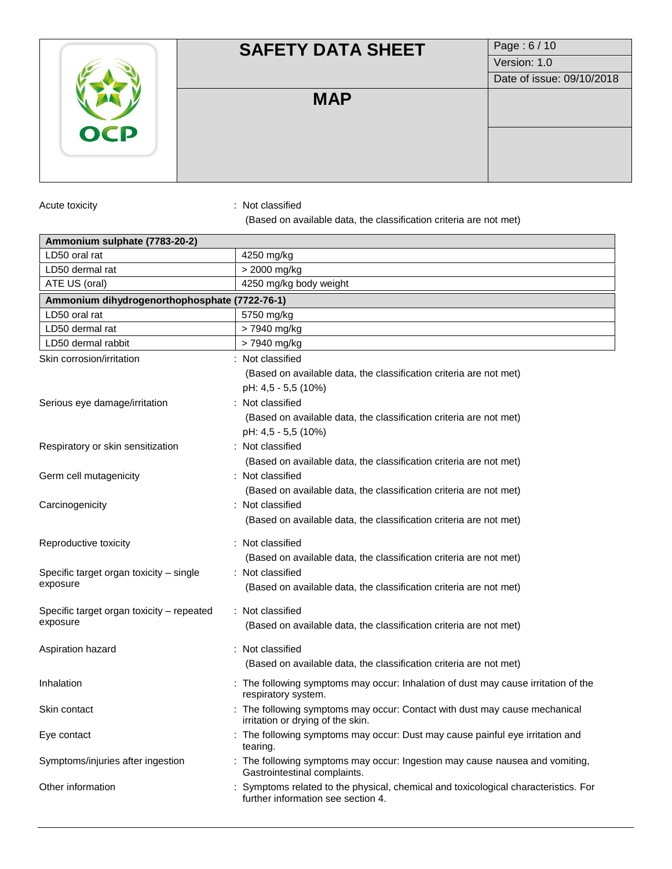|            | <b>SAFETY DATA SHEET</b> | Page: 6/10                |
|------------|--------------------------|---------------------------|
|            |                          | Version: 1.0              |
|            |                          | Date of issue: 09/10/2018 |
|            | <b>MAP</b>               |                           |
| <b>OCP</b> |                          |                           |
|            |                          |                           |

Acute toxicity **in the case of the contract of the contract of the contract of the contract of the contract of the contract of the contract of the contract of the contract of the contract of the contract of the contract of** 

(Based on available data, the classification criteria are not met)

| Ammonium sulphate (7783-20-2)                 |                                                                                                                         |
|-----------------------------------------------|-------------------------------------------------------------------------------------------------------------------------|
| LD50 oral rat                                 | 4250 mg/kg                                                                                                              |
| LD50 dermal rat                               | > 2000 mg/kg                                                                                                            |
| ATE US (oral)                                 | 4250 mg/kg body weight                                                                                                  |
| Ammonium dihydrogenorthophosphate (7722-76-1) |                                                                                                                         |
| LD50 oral rat                                 | 5750 mg/kg                                                                                                              |
| LD50 dermal rat                               | > 7940 mg/kg                                                                                                            |
| LD50 dermal rabbit                            | > 7940 mg/kg                                                                                                            |
| Skin corrosion/irritation                     | : Not classified                                                                                                        |
|                                               | (Based on available data, the classification criteria are not met)                                                      |
|                                               | pH: 4,5 - 5,5 (10%)                                                                                                     |
| Serious eye damage/irritation                 | : Not classified                                                                                                        |
|                                               | (Based on available data, the classification criteria are not met)<br>pH: 4,5 - 5,5 (10%)                               |
| Respiratory or skin sensitization             | : Not classified                                                                                                        |
|                                               | (Based on available data, the classification criteria are not met)                                                      |
| Germ cell mutagenicity                        | : Not classified                                                                                                        |
|                                               | (Based on available data, the classification criteria are not met)                                                      |
| Carcinogenicity                               | : Not classified                                                                                                        |
|                                               | (Based on available data, the classification criteria are not met)                                                      |
| Reproductive toxicity                         | : Not classified                                                                                                        |
|                                               | (Based on available data, the classification criteria are not met)                                                      |
| Specific target organ toxicity – single       | : Not classified                                                                                                        |
| exposure                                      | (Based on available data, the classification criteria are not met)                                                      |
|                                               |                                                                                                                         |
| Specific target organ toxicity – repeated     | : Not classified                                                                                                        |
| exposure                                      | (Based on available data, the classification criteria are not met)                                                      |
| Aspiration hazard                             | : Not classified                                                                                                        |
|                                               | (Based on available data, the classification criteria are not met)                                                      |
|                                               |                                                                                                                         |
| Inhalation                                    | : The following symptoms may occur: Inhalation of dust may cause irritation of the<br>respiratory system.               |
| Skin contact                                  | : The following symptoms may occur: Contact with dust may cause mechanical<br>irritation or drying of the skin.         |
| Eye contact                                   | : The following symptoms may occur: Dust may cause painful eye irritation and<br>tearing.                               |
| Symptoms/injuries after ingestion             | : The following symptoms may occur: Ingestion may cause nausea and vomiting,<br>Gastrointestinal complaints.            |
| Other information                             | Symptoms related to the physical, chemical and toxicological characteristics. For<br>further information see section 4. |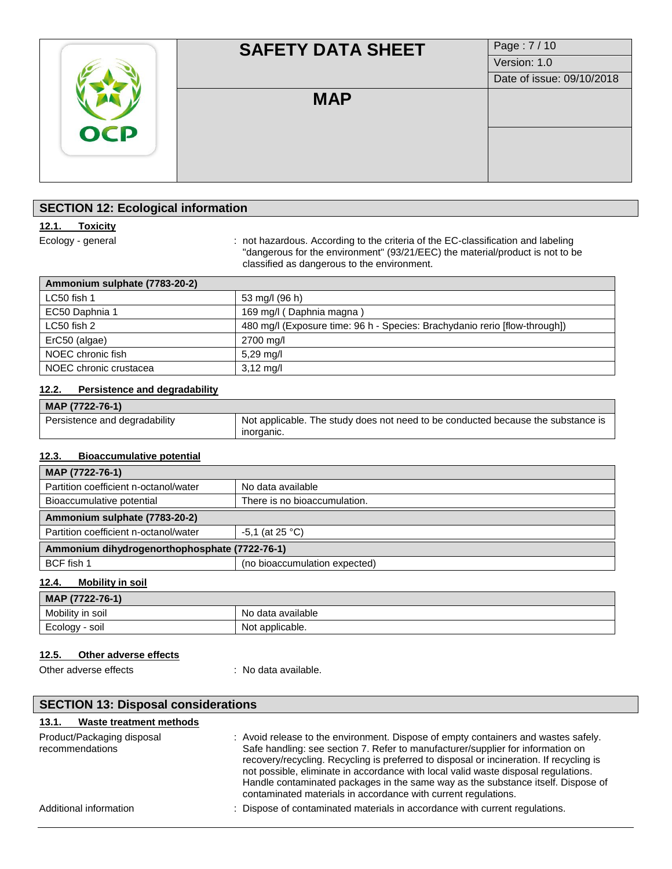|            | <b>SAFETY DATA SHEET</b> | Page: 7/10                |
|------------|--------------------------|---------------------------|
|            |                          | Version: 1.0              |
|            |                          | Date of issue: 09/10/2018 |
|            | <b>MAP</b>               |                           |
| <b>OCP</b> |                          |                           |
|            |                          |                           |

# **SECTION 12: Ecological information**

# **12.1. Toxicity**

Ecology - general : not hazardous. According to the criteria of the EC-classification and labeling "dangerous for the environment" (93/21/EEC) the material/product is not to be classified as dangerous to the environment.

| Ammonium sulphate (7783-20-2) |                                                                            |
|-------------------------------|----------------------------------------------------------------------------|
| LC50 fish 1                   | 53 mg/l (96 h)                                                             |
| EC50 Daphnia 1                | 169 mg/l (Daphnia magna)                                                   |
| LC50 fish 2                   | 480 mg/l (Exposure time: 96 h - Species: Brachydanio rerio [flow-through]) |
| ErC50 (algae)                 | 2700 mg/l                                                                  |
| NOEC chronic fish             | $5,29 \text{ rad}$                                                         |
| NOEC chronic crustacea        | $3,12 \text{ mg/l}$                                                        |

#### **12.2. Persistence and degradability**

| MAP (7722-76-1)               |                                                                                                |
|-------------------------------|------------------------------------------------------------------------------------------------|
| Persistence and degradability | Not applicable. The study does not need to be conducted because the substance is<br>inorganic. |

#### **12.3. Bioaccumulative potential**

| MAP (7722-76-1)                               |                               |  |
|-----------------------------------------------|-------------------------------|--|
| Partition coefficient n-octanol/water         | No data available             |  |
| Bioaccumulative potential                     | There is no bioaccumulation.  |  |
| Ammonium sulphate (7783-20-2)                 |                               |  |
| Partition coefficient n-octanol/water         | $-5.1$ (at 25 °C)             |  |
| Ammonium dihydrogenorthophosphate (7722-76-1) |                               |  |
| BCF fish 1                                    | (no bioaccumulation expected) |  |

### **12.4. Mobility in soil**

| MAP (7722-76-1)  |                         |  |
|------------------|-------------------------|--|
| Mobility in soil | o data available<br>NO. |  |
| Ecology<br>soil  | : applicable.<br>Νo     |  |

#### **12.5. Other adverse effects**

Other adverse effects : No data available.

| <b>SECTION 13: Disposal considerations</b>    |                                                                                                                                                                                                                                                                                                                                                                                                                                                                                                              |  |
|-----------------------------------------------|--------------------------------------------------------------------------------------------------------------------------------------------------------------------------------------------------------------------------------------------------------------------------------------------------------------------------------------------------------------------------------------------------------------------------------------------------------------------------------------------------------------|--|
| Waste treatment methods<br>13.1.              |                                                                                                                                                                                                                                                                                                                                                                                                                                                                                                              |  |
| Product/Packaging disposal<br>recommendations | : Avoid release to the environment. Dispose of empty containers and wastes safely.<br>Safe handling: see section 7. Refer to manufacturer/supplier for information on<br>recovery/recycling. Recycling is preferred to disposal or incineration. If recycling is<br>not possible, eliminate in accordance with local valid waste disposal regulations.<br>Handle contaminated packages in the same way as the substance itself. Dispose of<br>contaminated materials in accordance with current regulations. |  |
| Additional information                        | : Dispose of contaminated materials in accordance with current regulations.                                                                                                                                                                                                                                                                                                                                                                                                                                  |  |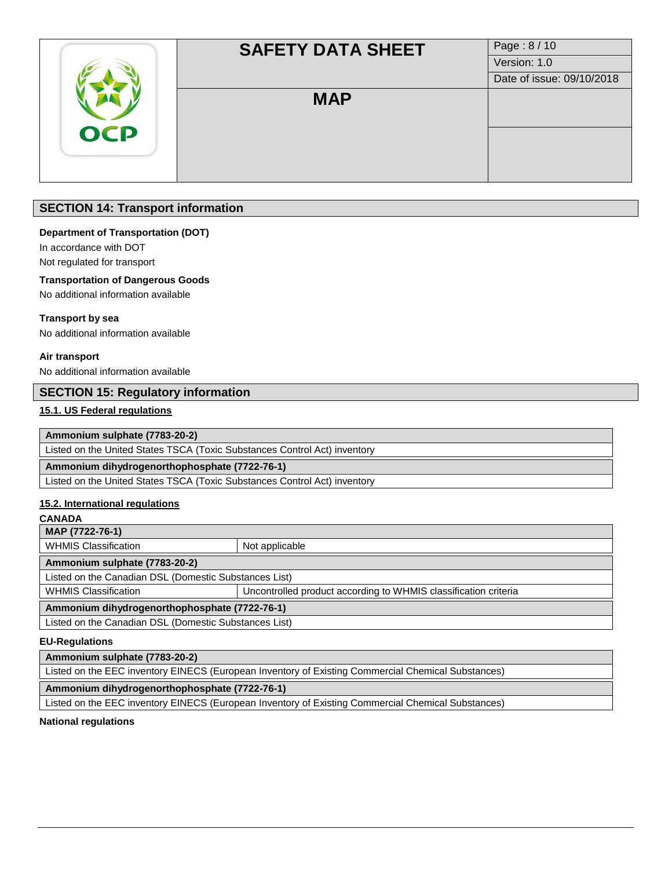|            | <b>SAFETY DATA SHEET</b> | Page: 8/10                |
|------------|--------------------------|---------------------------|
|            |                          | Version: 1.0              |
|            |                          | Date of issue: 09/10/2018 |
|            | <b>MAP</b>               |                           |
| <b>OCP</b> |                          |                           |
|            |                          |                           |

# **SECTION 14: Transport information**

#### **Department of Transportation (DOT)**

In accordance with DOT

Not regulated for transport

# **Transportation of Dangerous Goods**

No additional information available

#### **Transport by sea**

No additional information available

#### **Air transport**

No additional information available

# **SECTION 15: Regulatory information**

#### **15.1. US Federal regulations**

**Ammonium sulphate (7783-20-2)**

Listed on the United States TSCA (Toxic Substances Control Act) inventory

**Ammonium dihydrogenorthophosphate (7722-76-1)**

Listed on the United States TSCA (Toxic Substances Control Act) inventory

#### **15.2. International regulations**

#### **CANADA**

**MAP (7722-76-1)** WHMIS Classification Not applicable **Ammonium sulphate (7783-20-2)** Listed on the Canadian DSL (Domestic Substances List) WHMIS Classification **VELA CLASS CLASS** Uncontrolled product according to WHMIS classification criteria **Ammonium dihydrogenorthophosphate (7722-76-1)**

Listed on the Canadian DSL (Domestic Substances List)

# **EU-Regulations**

**Ammonium sulphate (7783-20-2)**

Listed on the EEC inventory EINECS (European Inventory of Existing Commercial Chemical Substances)

# **Ammonium dihydrogenorthophosphate (7722-76-1)**

Listed on the EEC inventory EINECS (European Inventory of Existing Commercial Chemical Substances)

#### **National regulations**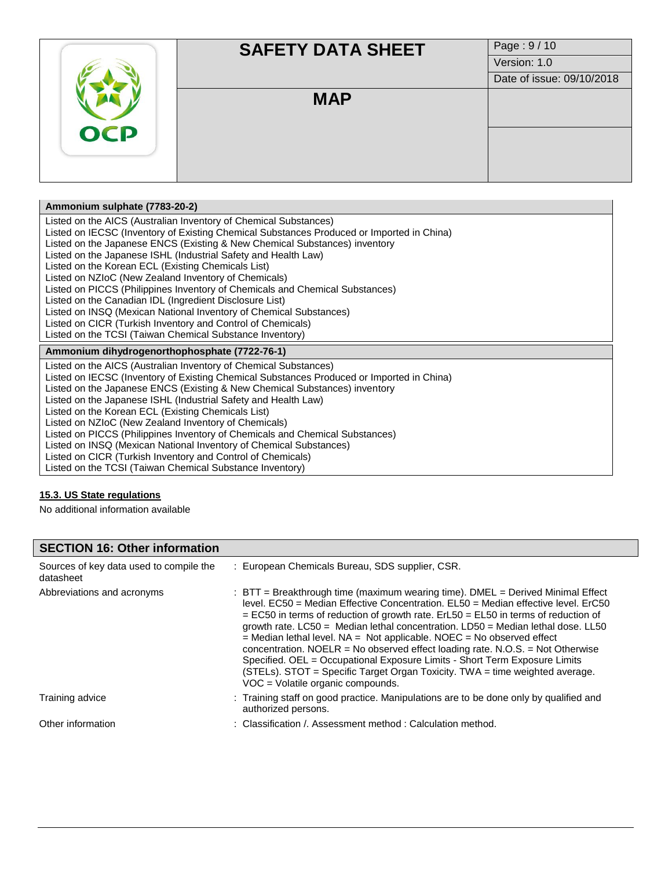|            | <b>SAFETY DATA SHEET</b> | Page: 9/10                |
|------------|--------------------------|---------------------------|
|            |                          | Version: 1.0              |
|            |                          | Date of issue: 09/10/2018 |
| <b>OCP</b> | <b>MAP</b>               |                           |
|            |                          |                           |
|            |                          |                           |

### **Ammonium sulphate (7783-20-2)**

Listed on the AICS (Australian Inventory of Chemical Substances)

Listed on IECSC (Inventory of Existing Chemical Substances Produced or Imported in China)

Listed on the Japanese ENCS (Existing & New Chemical Substances) inventory

Listed on the Japanese ISHL (Industrial Safety and Health Law)

Listed on the Korean ECL (Existing Chemicals List)

Listed on NZIoC (New Zealand Inventory of Chemicals)

Listed on PICCS (Philippines Inventory of Chemicals and Chemical Substances)

Listed on the Canadian IDL (Ingredient Disclosure List)

Listed on INSQ (Mexican National Inventory of Chemical Substances)

Listed on CICR (Turkish Inventory and Control of Chemicals)

Listed on the TCSI (Taiwan Chemical Substance Inventory)

**Ammonium dihydrogenorthophosphate (7722-76-1)**

Listed on the AICS (Australian Inventory of Chemical Substances) Listed on IECSC (Inventory of Existing Chemical Substances Produced or Imported in China) Listed on the Japanese ENCS (Existing & New Chemical Substances) inventory Listed on the Japanese ISHL (Industrial Safety and Health Law) Listed on the Korean ECL (Existing Chemicals List) Listed on NZIoC (New Zealand Inventory of Chemicals) Listed on PICCS (Philippines Inventory of Chemicals and Chemical Substances) Listed on INSQ (Mexican National Inventory of Chemical Substances)

Listed on CICR (Turkish Inventory and Control of Chemicals)

Listed on the TCSI (Taiwan Chemical Substance Inventory)

#### **15.3. US State regulations**

No additional information available

# **SECTION 16: Other information**

| Sources of key data used to compile the<br>datasheet | : European Chemicals Bureau, SDS supplier, CSR.                                                                                                                                                                                                                                                                                                                                                                                                                                                                                                                                                                                                                                                                              |
|------------------------------------------------------|------------------------------------------------------------------------------------------------------------------------------------------------------------------------------------------------------------------------------------------------------------------------------------------------------------------------------------------------------------------------------------------------------------------------------------------------------------------------------------------------------------------------------------------------------------------------------------------------------------------------------------------------------------------------------------------------------------------------------|
| Abbreviations and acronyms                           | : $BTT = B$ reakthrough time (maximum wearing time). DMEL = Derived Minimal Effect<br>level. EC50 = Median Effective Concentration. EL50 = Median effective level. ErC50<br>$=$ EC50 in terms of reduction of growth rate. ErL50 $=$ EL50 in terms of reduction of<br>growth rate. $LC50 =$ Median lethal concentration. $LD50 =$ Median lethal dose. $LL50$<br>$=$ Median lethal level. NA = Not applicable. NOEC = No observed effect<br>concentration. NOELR = No observed effect loading rate. N.O.S. = Not Otherwise<br>Specified. OEL = Occupational Exposure Limits - Short Term Exposure Limits<br>(STELs). STOT = Specific Target Organ Toxicity. TWA = time weighted average.<br>VOC = Volatile organic compounds. |
| Training advice                                      | : Training staff on good practice. Manipulations are to be done only by qualified and<br>authorized persons.                                                                                                                                                                                                                                                                                                                                                                                                                                                                                                                                                                                                                 |
| Other information                                    | : Classification / Assessment method : Calculation method.                                                                                                                                                                                                                                                                                                                                                                                                                                                                                                                                                                                                                                                                   |